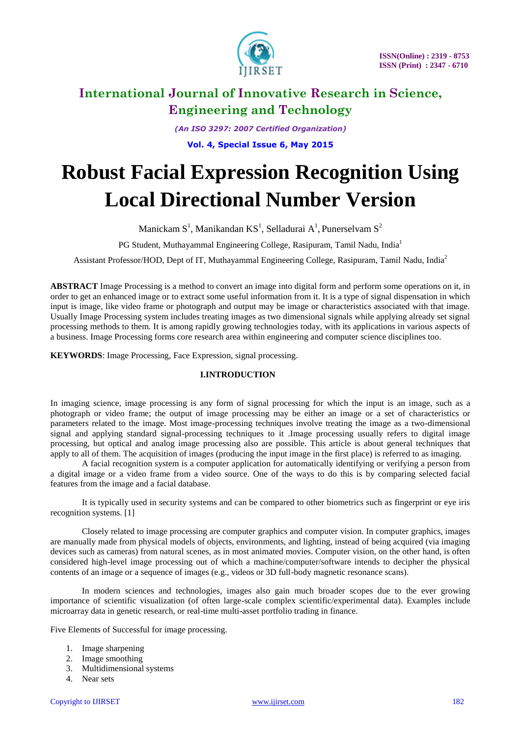

*(An ISO 3297: 2007 Certified Organization)* **Vol. 4, Special Issue 6, May 2015**

# **Robust Facial Expression Recognition Using Local Directional Number Version**

Manickam  $S^1$ , Manikandan K $S^1$ , Selladurai A<sup>1</sup>, Punerselvam  $S^2$ 

PG Student, Muthayammal Engineering College, Rasipuram, Tamil Nadu, India<sup>1</sup>

Assistant Professor/HOD, Dept of IT, Muthayammal Engineering College, Rasipuram, Tamil Nadu, India<sup>2</sup>

**ABSTRACT** Image Processing is a method to convert an image into digital form and perform some operations on it, in order to get an enhanced image or to extract some useful information from it. It is a type of signal dispensation in which input is image, like video frame or photograph and output may be image or characteristics associated with that image. Usually Image Processing system includes treating images as two dimensional signals while applying already set signal processing methods to them. It is among rapidly growing technologies today, with its applications in various aspects of a business. Image Processing forms core research area within engineering and computer science disciplines too.

**KEYWORDS**: Image Processing, Face Expression, signal processing.

### **I.INTRODUCTION**

In imaging science, image processing is any form of signal processing for which the input is an image, such as a photograph or video frame; the output of image processing may be either an image or a set of characteristics or parameters related to the image. Most image-processing techniques involve treating the image as a two-dimensional signal and applying standard signal-processing techniques to it .Image processing usually refers to digital image processing, but optical and analog image processing also are possible. This article is about general techniques that apply to all of them. The acquisition of images (producing the input image in the first place) is referred to as imaging.

A facial recognition system is a computer application for automatically identifying or verifying a person from a digital image or a video frame from a video source. One of the ways to do this is by comparing selected facial features from the image and a facial database.

It is typically used in security systems and can be compared to other biometrics such as fingerprint or eye iris recognition systems. [1]

 Closely related to image processing are computer graphics and computer vision. In computer graphics, images are manually made from physical models of objects, environments, and lighting, instead of being acquired (via imaging devices such as cameras) from natural scenes, as in most animated movies. Computer vision, on the other hand, is often considered high-level image processing out of which a machine/computer/software intends to decipher the physical contents of an image or a sequence of images (e.g., videos or 3D full-body magnetic resonance scans).

In modern sciences and technologies, images also gain much broader scopes due to the ever growing importance of scientific visualization (of often large-scale complex scientific/experimental data). Examples include microarray data in genetic research, or real-time multi-asset portfolio trading in finance.

Five Elements of Successful for image processing.

- 1. Image sharpening
- 2. Image smoothing
- 3. Multidimensional systems
- 4. Near sets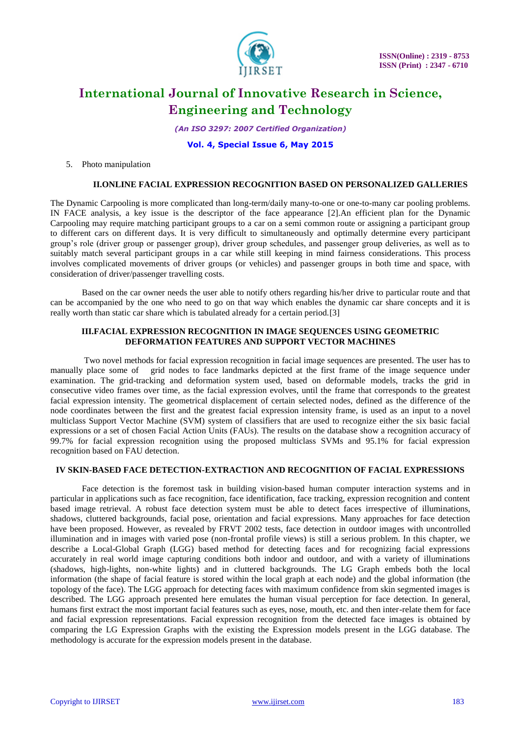

*(An ISO 3297: 2007 Certified Organization)*

**Vol. 4, Special Issue 6, May 2015**

5. Photo manipulation

#### **II.ONLINE FACIAL EXPRESSION RECOGNITION BASED ON PERSONALIZED GALLERIES**

The Dynamic Carpooling is more complicated than long-term/daily many-to-one or one-to-many car pooling problems. IN FACE analysis, a key issue is the descriptor of the face appearance [2].An efficient plan for the Dynamic Carpooling may require matching participant groups to a car on a semi common route or assigning a participant group to different cars on different days. It is very difficult to simultaneously and optimally determine every participant group's role (driver group or passenger group), driver group schedules, and passenger group deliveries, as well as to suitably match several participant groups in a car while still keeping in mind fairness considerations. This process involves complicated movements of driver groups (or vehicles) and passenger groups in both time and space, with consideration of driver/passenger travelling costs.

Based on the car owner needs the user able to notify others regarding his/her drive to particular route and that can be accompanied by the one who need to go on that way which enables the dynamic car share concepts and it is really worth than static car share which is tabulated already for a certain period.[3]

#### **III.FACIAL EXPRESSION RECOGNITION IN IMAGE SEQUENCES USING GEOMETRIC DEFORMATION FEATURES AND SUPPORT VECTOR MACHINES**

Two novel methods for facial expression recognition in facial image sequences are presented. The user has to manually place some of grid nodes to face landmarks depicted at the first frame of the image sequence under examination. The grid-tracking and deformation system used, based on deformable models, tracks the grid in consecutive video frames over time, as the facial expression evolves, until the frame that corresponds to the greatest facial expression intensity. The geometrical displacement of certain selected nodes, defined as the difference of the node coordinates between the first and the greatest facial expression intensity frame, is used as an input to a novel multiclass Support Vector Machine (SVM) system of classifiers that are used to recognize either the six basic facial expressions or a set of chosen Facial Action Units (FAUs). The results on the database show a recognition accuracy of 99.7% for facial expression recognition using the proposed multiclass SVMs and 95.1% for facial expression recognition based on FAU detection.

### **IV SKIN-BASED FACE DETECTION-EXTRACTION AND RECOGNITION OF FACIAL EXPRESSIONS**

Face detection is the foremost task in building vision-based human computer interaction systems and in particular in applications such as face recognition, face identification, face tracking, expression recognition and content based image retrieval. A robust face detection system must be able to detect faces irrespective of illuminations, shadows, cluttered backgrounds, facial pose, orientation and facial expressions. Many approaches for face detection have been proposed. However, as revealed by FRVT 2002 tests, face detection in outdoor images with uncontrolled illumination and in images with varied pose (non-frontal profile views) is still a serious problem. In this chapter, we describe a Local-Global Graph (LGG) based method for detecting faces and for recognizing facial expressions accurately in real world image capturing conditions both indoor and outdoor, and with a variety of illuminations (shadows, high-lights, non-white lights) and in cluttered backgrounds. The LG Graph embeds both the local information (the shape of facial feature is stored within the local graph at each node) and the global information (the topology of the face). The LGG approach for detecting faces with maximum confidence from skin segmented images is described. The LGG approach presented here emulates the human visual perception for face detection. In general, humans first extract the most important facial features such as eyes, nose, mouth, etc. and then inter-relate them for face and facial expression representations. Facial expression recognition from the detected face images is obtained by comparing the LG Expression Graphs with the existing the Expression models present in the LGG database. The methodology is accurate for the expression models present in the database.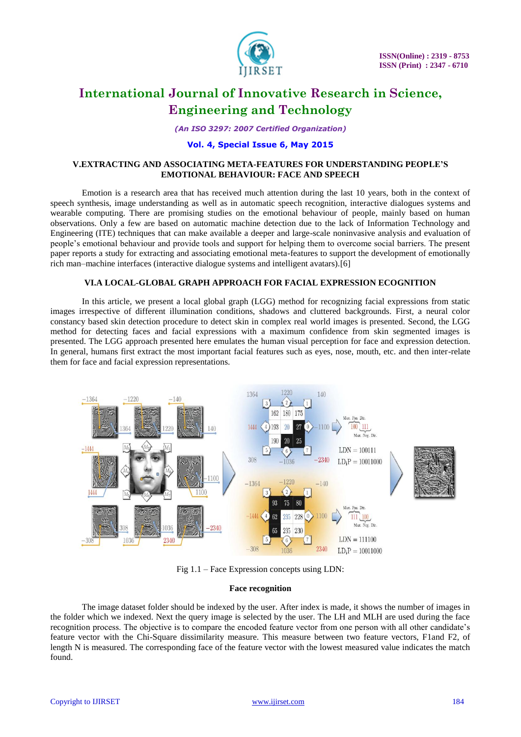

*(An ISO 3297: 2007 Certified Organization)*

### **Vol. 4, Special Issue 6, May 2015**

### **V.EXTRACTING AND ASSOCIATING META-FEATURES FOR UNDERSTANDING PEOPLE'S EMOTIONAL BEHAVIOUR: FACE AND SPEECH**

Emotion is a research area that has received much attention during the last 10 years, both in the context of speech synthesis, image understanding as well as in automatic speech recognition, interactive dialogues systems and wearable computing. There are promising studies on the emotional behaviour of people, mainly based on human observations. Only a few are based on automatic machine detection due to the lack of Information Technology and Engineering (ITE) techniques that can make available a deeper and large-scale noninvasive analysis and evaluation of people's emotional behaviour and provide tools and support for helping them to overcome social barriers. The present paper reports a study for extracting and associating emotional meta-features to support the development of emotionally rich man–machine interfaces (interactive dialogue systems and intelligent avatars).[6]

### **VI.A LOCAL-GLOBAL GRAPH APPROACH FOR FACIAL EXPRESSION ECOGNITION**

In this article, we present a local global graph (LGG) method for recognizing facial expressions from static images irrespective of different illumination conditions, shadows and cluttered backgrounds. First, a neural color constancy based skin detection procedure to detect skin in complex real world images is presented. Second, the LGG method for detecting faces and facial expressions with a maximum confidence from skin segmented images is presented. The LGG approach presented here emulates the human visual perception for face and expression detection. In general, humans first extract the most important facial features such as eyes, nose, mouth, etc. and then inter-relate them for face and facial expression representations.



Fig 1.1 – Face Expression concepts using LDN:

### **Face recognition**

The image dataset folder should be indexed by the user. After index is made, it shows the number of images in the folder which we indexed. Next the query image is selected by the user. The LH and MLH are used during the face recognition process. The objective is to compare the encoded feature vector from one person with all other candidate's feature vector with the Chi-Square dissimilarity measure. This measure between two feature vectors, F1and F2, of length N is measured. The corresponding face of the feature vector with the lowest measured value indicates the match found.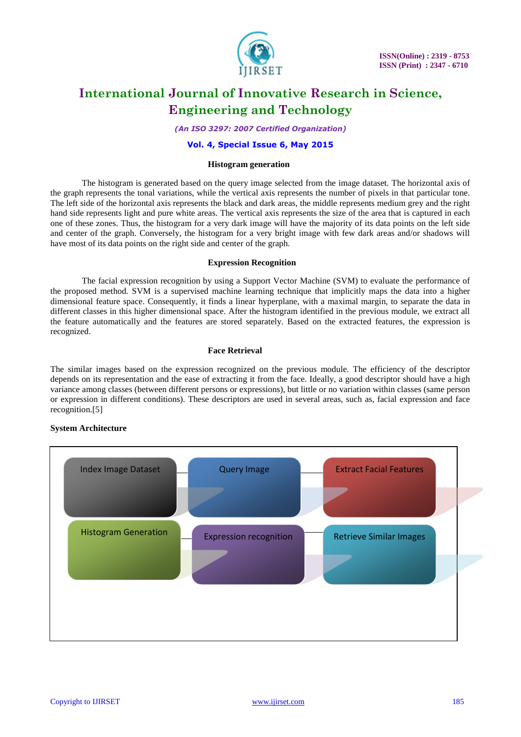

*(An ISO 3297: 2007 Certified Organization)*

### **Vol. 4, Special Issue 6, May 2015**

#### **Histogram generation**

The histogram is generated based on the query image selected from the image dataset. The horizontal axis of the graph represents the tonal variations, while the vertical axis represents the number of pixels in that particular tone. The left side of the horizontal axis represents the black and dark areas, the middle represents medium grey and the right hand side represents light and pure white areas. The vertical axis represents the size of the area that is captured in each one of these zones. Thus, the histogram for a very dark image will have the majority of its data points on the left side and center of the graph. Conversely, the histogram for a very bright image with few dark areas and/or shadows will have most of its data points on the right side and center of the graph.

### **Expression Recognition**

The facial expression recognition by using a Support Vector Machine (SVM) to evaluate the performance of the proposed method. SVM is a supervised machine learning technique that implicitly maps the data into a higher dimensional feature space. Consequently, it finds a linear hyperplane, with a maximal margin, to separate the data in different classes in this higher dimensional space. After the histogram identified in the previous module, we extract all the feature automatically and the features are stored separately. Based on the extracted features, the expression is recognized.

#### **Face Retrieval**

The similar images based on the expression recognized on the previous module. The efficiency of the descriptor depends on its representation and the ease of extracting it from the face. Ideally, a good descriptor should have a high variance among classes (between different persons or expressions), but little or no variation within classes (same person or expression in different conditions). These descriptors are used in several areas, such as, facial expression and face recognition.[5]

### **System Architecture**